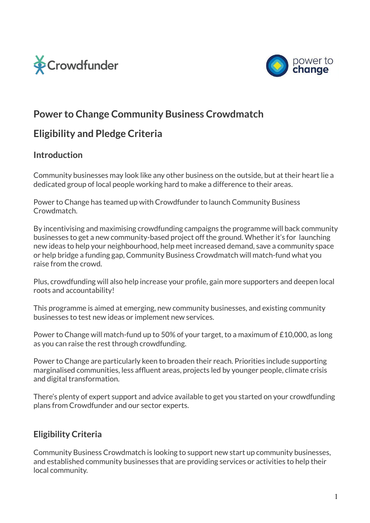



# **Power to Change Community Business Crowdmatch**

# **Eligibility and Pledge Criteria**

### **Introduction**

Community businesses may look like any other business on the outside, but at their heart lie a dedicated group of local people working hard to make a difference to their areas.

Power to Change has teamed up with Crowdfunder to launch Community Business **Crowdmatch** 

By incentivising and maximising crowdfunding campaigns the programme will back community businesses to get a new community-based project off the ground. Whether it's for launching new ideas to help your neighbourhood, help meet increased demand, save a community space or help bridge a funding gap, Community Business Crowdmatch will match-fund what you raise from the crowd.

Plus, crowdfunding will also help increase your profile, gain more supporters and deepen local roots and accountability!

This programme is aimed at emerging, new community businesses, and existing community businesses to test new ideas or implement new services.

Power to Change will match-fund up to 50% of your target, to a maximum of £10,000, as long as you can raise the rest through crowdfunding.

Power to Change are particularly keen to broaden their reach. Priorities include supporting marginalised communities, less affluent areas, projects led by younger people, climate crisis and digital transformation.

There's plenty of expert support and advice available to get you started on your crowdfunding plans from Crowdfunder and our sector experts.

### **Eligibility Criteria**

Community Business Crowdmatch is looking to support new start up community businesses, and established community businesses that are providing services or activities to help their local community.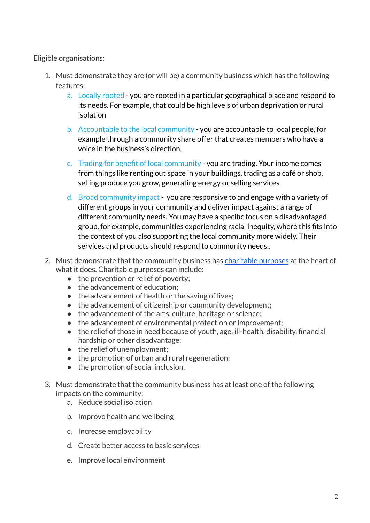Eligible organisations:

- 1. Must demonstrate they are (or will be) a community business which has the following features:
	- a. [Locally](https://www.youtube.com/watch?v=n4YCrf4_QUU&t=10s) rooted you are rooted in a particular geographical place and respond to its needs. For example, that could be high levels of urban deprivation or rural isolation
	- b. [Accountable](https://www.youtube.com/watch?v=BZbN1bNYOs8&t=24s) to the local community you are accountable to local people, for example through a community share offer that creates members who have a voice in the business's direction.
	- c. Trading for benefit of local [community](https://www.youtube.com/watch?v=TtEjjLuh5b8) you are trading. Your income comes from things like renting out space in your buildings, trading as a café or shop, selling produce you grow, generating energy or selling service[s](https://www.youtube.com/watch?v=TtEjjLuh5b8)
	- d. Broad [community](https://www.youtube.com/watch?v=BQdcOEbKSeI&t=12s) impact you are responsive to and engage with a variety of different groups in your community and deliver impact against a range of different community needs. You may have a specific focus on a disadvantaged group, for example, communities experiencing racial inequity, where this fits into the context of you also supporting the local community more widely. Their services and products should respond to community needs..
- 2. Must demonstrate that the community business has [charitable](http://www.gov.uk/government/publications/charitable-purposes/charitable-purposes) purposes at the heart of what it does. Charitable purposes can include:
	- the prevention or relief of poverty;
	- the advancement of education;
	- the advancement of health or the saving of lives;
	- the advancement of citizenship or community development;
	- the advancement of the arts, culture, heritage or science;
	- the advancement of environmental protection or improvement;
	- the relief of those in need because of youth, age, ill-health, disability, financial hardship or other disadvantage;
	- the relief of unemployment;
	- the promotion of urban and rural regeneration;
	- the promotion of social inclusion.
- 3. Must demonstrate that the community business has at least one of the following impacts on the community:
	- a. Reduce social isolation
	- b. Improve health and wellbeing
	- c. Increase employability
	- d. Create better access to basic services
	- e. Improve local environment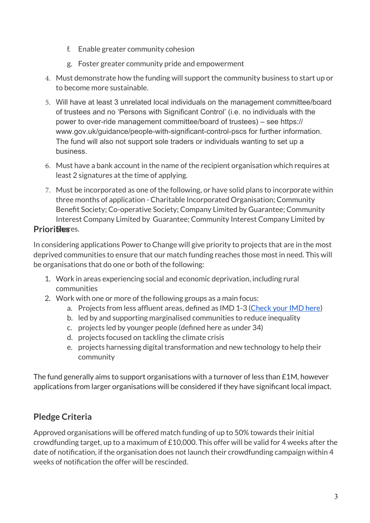- f. Enable greater community cohesion
- g. Foster greater community pride and empowerment
- 4. Must demonstrate how the funding will support the community business to start up or to become more sustainable.
- 5. Will have at least 3 unrelated local individuals on the management committee/board of trustees and no 'Persons with Significant Control' (i.e. no individuals with the power to over-ride management committee/board of trustees) – see https:// www.gov.uk/guidance/people-with-significant-control-pscs for further information. The fund will also not support sole traders or individuals wanting to set up a business.
- 6. Must have a bank account in the name of the recipient organisation which requires at least 2 signatures at the time of applying.
- 7. Must be incorporated as one of the following, or have solid plans to incorporate within three months of application - Charitable Incorporated Organisation; Community Benefit Society; Co-operative Society; Company Limited by Guarantee; Community Interest Company Limited by Guarantee; Community Interest Company Limited by

### **Priorifiesses.**

In considering applications Power to Change will give priority to projects that are in the most deprived communities to ensure that our match funding reaches those most in need. This will be organisations that do one or both of the following:

- 1. Work in areas experiencing social and economic deprivation, including rural communities
- 2. Work with one or more of the following groups as a main focus:
	- a. Projects from less affluent areas, defined as IMD 1-3 [\(Check your IMD here](https://www.fscbiodiversity.uk/imd/))
	- b. led by and supporting marginalised communities to reduce inequality
	- c. projects led by younger people (defined here as under 34)
	- d. projects focused on tackling the climate crisis
	- e. projects harnessing digital transformation and new technology to help their community

The fund generally aims to support organisations with a turnover of less than £1M, however applications from larger organisations will be considered if they have significant local impact.

## **Pledge Criteria**

Approved organisations will be offered match funding of up to 50% towards their initial crowdfunding target, up to a maximum of £10,000. This offer will be valid for 4 weeks after the date of notification, if the organisation does not launch their crowdfunding campaign within 4 weeks of notification the offer will be rescinded.